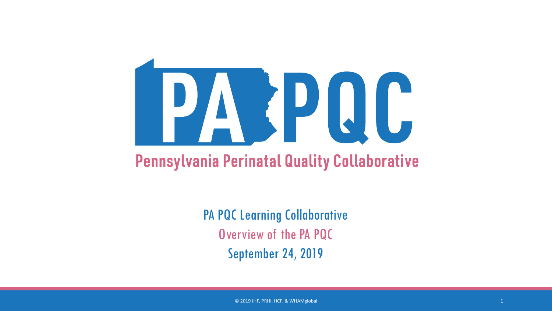

PA PQC Learning Collaborative Overview of the PA PQC September 24, 2019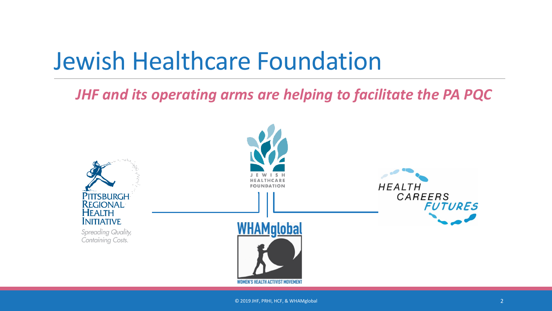## Jewish Healthcare Foundation

*JHF and its operating arms are helping to facilitate the PA PQC*

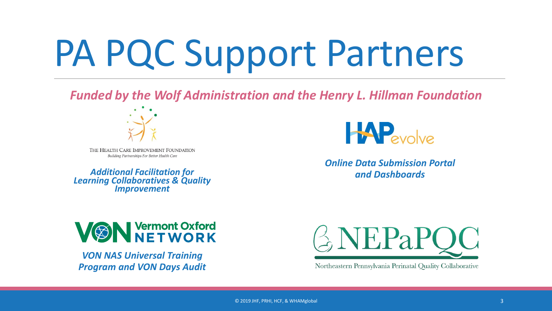# PA PQC Support Partners

*Funded by the Wolf Administration and the Henry L. Hillman Foundation*



THE HEALTH CARE IMPROVEMENT FOUNDATION Building Partnerships For Better Health Care

*Additional Facilitation for Learning Collaboratives & Quality Improvement*



*Online Data Submission Portal and Dashboards*



*VON NAS Universal Training Program and VON Days Audit*



Northeastern Pennsylvania Perinatal Quality Collaborative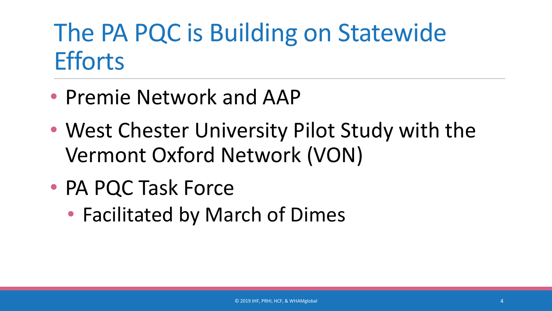#### The PA PQC is Building on Statewide **Efforts**

- Premie Network and AAP
- West Chester University Pilot Study with the Vermont Oxford Network (VON)
- PA PQC Task Force
	- Facilitated by March of Dimes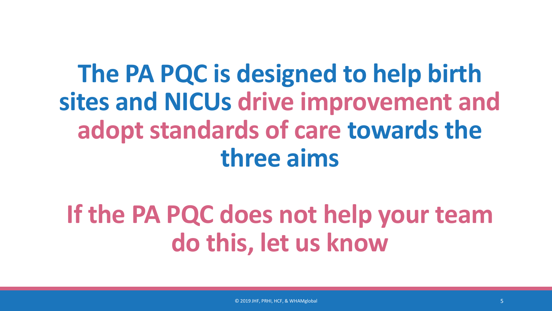### **The PA PQC is designed to help birth sites and NICUs drive improvement and adopt standards of care towards the three aims**

### **If the PA PQC does not help your team do this, let us know**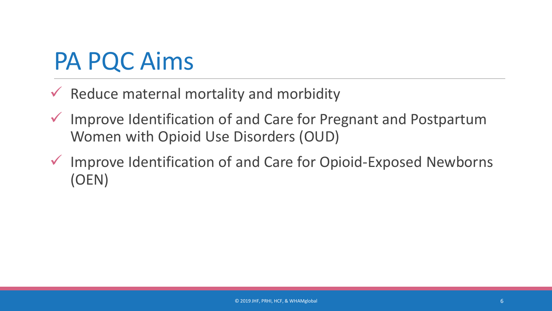#### PA PQC Aims

- $\checkmark$  Reduce maternal mortality and morbidity
- $\checkmark$  Improve Identification of and Care for Pregnant and Postpartum Women with Opioid Use Disorders (OUD)
- $\checkmark$  Improve Identification of and Care for Opioid-Exposed Newborns (OEN)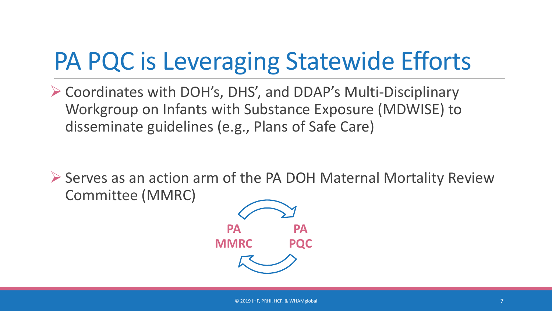## PA PQC is Leveraging Statewide Efforts

 Coordinates with DOH's, DHS', and DDAP's Multi-Disciplinary Workgroup on Infants with Substance Exposure (MDWISE) to disseminate guidelines (e.g., Plans of Safe Care)

▶ Serves as an action arm of the PA DOH Maternal Mortality Review Committee (MMRC)

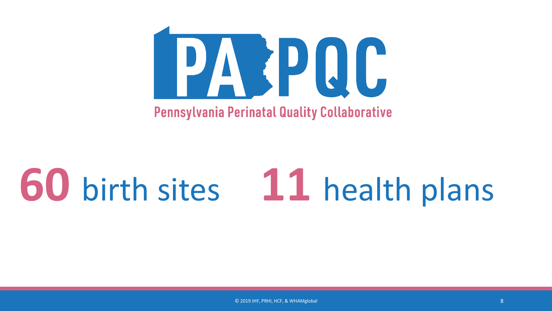

# **60** birth sites **11** health plans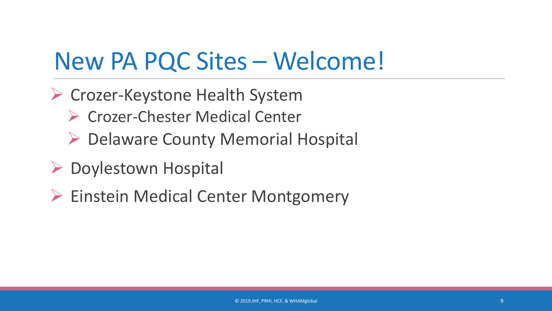#### New PA PQC Sites – Welcome!

- Crozer-Keystone Health System
	- ▶ Crozer-Chester Medical Center
	- ▶ Delaware County Memorial Hospital
- ▶ Doylestown Hospital
- ▶ Einstein Medical Center Montgomery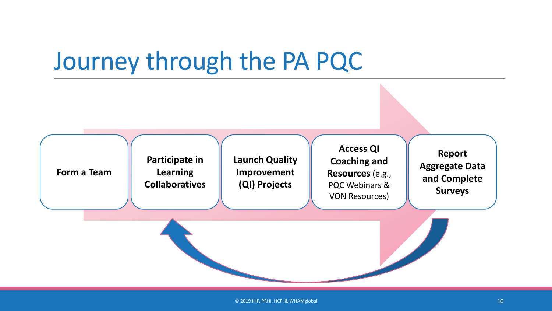#### Journey through the PA PQC

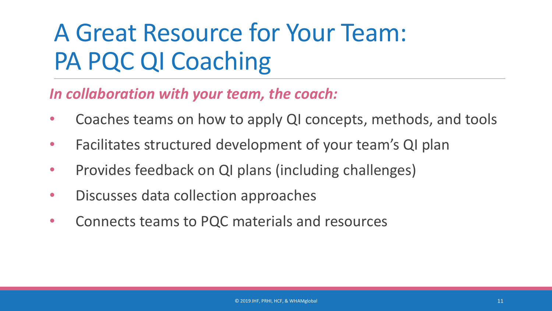## A Great Resource for Your Team: PA PQC QI Coaching

#### *In collaboration with your team, the coach:*

- Coaches teams on how to apply QI concepts, methods, and tools
- Facilitates structured development of your team's QI plan
- Provides feedback on QI plans (including challenges)
- Discusses data collection approaches
- Connects teams to PQC materials and resources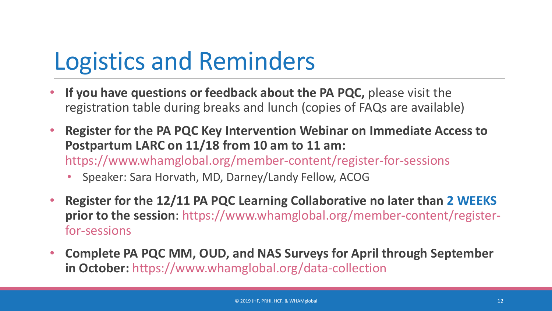### Logistics and Reminders

- **If you have questions or feedback about the PA PQC,** please visit the registration table during breaks and lunch (copies of FAQs are available)
- **Register for the PA PQC Key Intervention Webinar on Immediate Access to Postpartum LARC on 11/18 from 10 am to 11 am:**  https://www.whamglobal.org/member-content/register-for-sessions
	- Speaker: Sara Horvath, MD, Darney/Landy Fellow, ACOG
- **Register for the 12/11 PA PQC Learning Collaborative no later than 2 WEEKS prior to the session**: https://www.whamglobal.org/member-content/registerfor-sessions
- **Complete PA PQC MM, OUD, and NAS Surveys for April through September in October:** https://www.whamglobal.org/data-collection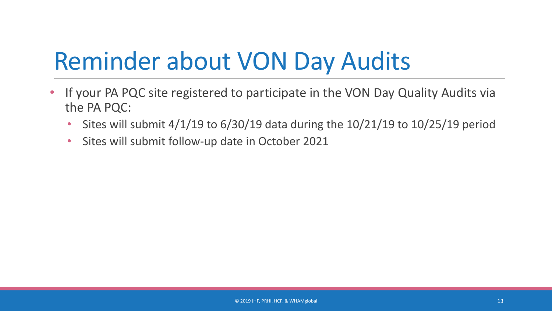### Reminder about VON Day Audits

- If your PA PQC site registered to participate in the VON Day Quality Audits via the PA PQC:
	- Sites will submit 4/1/19 to 6/30/19 data during the 10/21/19 to 10/25/19 period
	- Sites will submit follow-up date in October 2021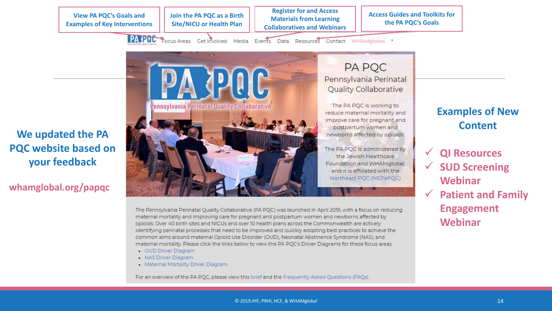**View PA PQC's Goals and Examples of Key Interventions**  **Join the PA PQC as a Birth Site/NICU or Health Plan**

**Register for and Access Materials from Learning Collaboratives and Webinars**

**Access Guides and Toolkits for the PA PQC's Goals**

PATPUC Focus Areas Get Involved Media Events Data Resources Contact WHAMglobal +

**We updated the PA PQC website based on your feedback**

#### **whamglobal.org/papqc**

**A PAIC** Pennsylvania Perinatal Quality Collaborative

**PA PQC** Pennsylvania Perinatal **Quality Collaborative** 

The PA PQC is working to reduce maternal mortality and improve care for pregnant and postpartum women and newborns affected by opioids.

The PA POC is administered by the Jewish Healthcare Foundation and WHAMglobal, and it is affiliated with the Northeast PQC (NEPaPQC)

The Pennsylvania Perinatal Quality Collaborative (PA PQC) was launched in April 2019, with a focus on reducing maternal mortality and improving care for pregnant and postpartum women and newborns affected by opioids. Over 40 birth sites and NICUs and over 10 health plans across the Commonwealth are actively identifying perinatal processes that need to be improved and quickly adopting best practices to achieve the common aims around maternal Opioid Use Disorder (OUD), Neonatal Abstinence Syndrome (NAS), and maternal mortality. Please click the links below to view the PA PQC's Driver Diagrams for these focus areas.

- . OUD Driver Diagram
- · NAS Driver Diagram
- Maternal Mortality Driver Diagram

For an overview of the PA PQC, please view this brief and the Frequently Asked Questions (FAQs).

#### **Examples of New Content**

- **QI Resources SUD Screening Webinar**
- **Patient and Family Engagement Webinar**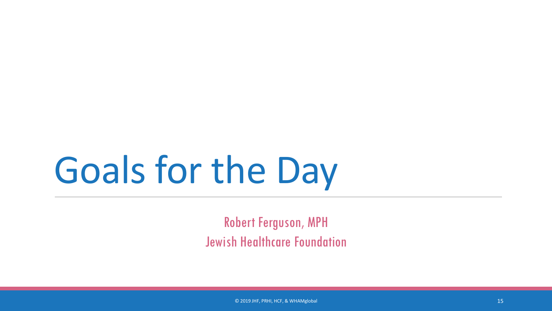# Goals for the Day

Robert Ferguson, MPH Jewish Healthcare Foundation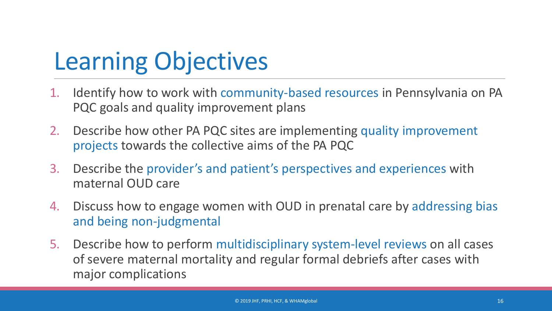## Learning Objectives

- 1. Identify how to work with community-based resources in Pennsylvania on PA PQC goals and quality improvement plans
- 2. Describe how other PA PQC sites are implementing quality improvement projects towards the collective aims of the PA PQC
- 3. Describe the provider's and patient's perspectives and experiences with maternal OUD care
- 4. Discuss how to engage women with OUD in prenatal care by addressing bias and being non-judgmental
- 5. Describe how to perform multidisciplinary system-level reviews on all cases of severe maternal mortality and regular formal debriefs after cases with major complications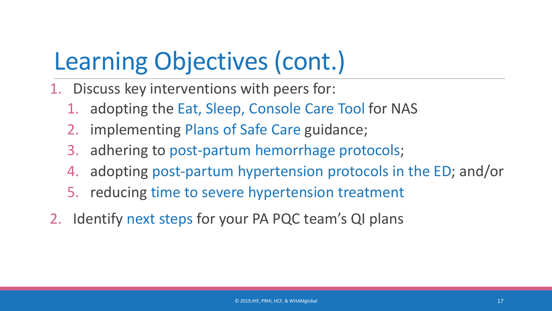### Learning Objectives (cont.)

- 1. Discuss key interventions with peers for:
	- 1. adopting the Eat, Sleep, Console Care Tool for NAS
	- 2. implementing Plans of Safe Care guidance;
	- 3. adhering to post-partum hemorrhage protocols;
	- 4. adopting post-partum hypertension protocols in the ED; and/or
	- 5. reducing time to severe hypertension treatment
- 2. Identify next steps for your PA PQC team's QI plans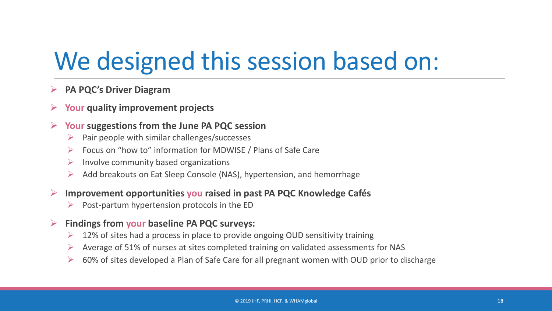### We designed this session based on:

#### **PA PQC's Driver Diagram**

#### **Your quality improvement projects**

#### **Your suggestions from the June PA PQC session**

- $\triangleright$  Pair people with similar challenges/successes
- $\triangleright$  Focus on "how to" information for MDWISE / Plans of Safe Care
- $\triangleright$  Involve community based organizations
- Add breakouts on Eat Sleep Console (NAS), hypertension, and hemorrhage

#### **Improvement opportunities you raised in past PA PQC Knowledge Cafés**

Post-partum hypertension protocols in the ED

#### **Findings from your baseline PA PQC surveys:**

- $\geq$  12% of sites had a process in place to provide ongoing OUD sensitivity training
- Average of 51% of nurses at sites completed training on validated assessments for NAS
- $\geq$  60% of sites developed a Plan of Safe Care for all pregnant women with OUD prior to discharge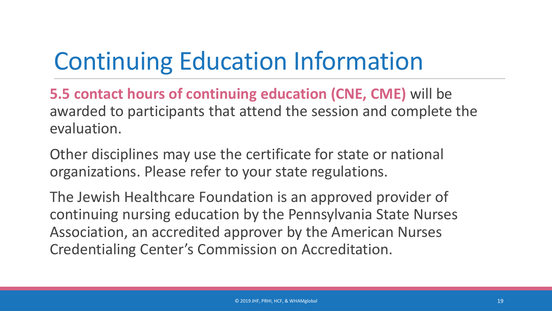# Continuing Education Information

**5.5 contact hours of continuing education (CNE, CME)** will be awarded to participants that attend the session and complete the evaluation.

Other disciplines may use the certificate for state or national organizations. Please refer to your state regulations.

The Jewish Healthcare Foundation is an approved provider of continuing nursing education by the Pennsylvania State Nurses Association, an accredited approver by the American Nurses Credentialing Center's Commission on Accreditation.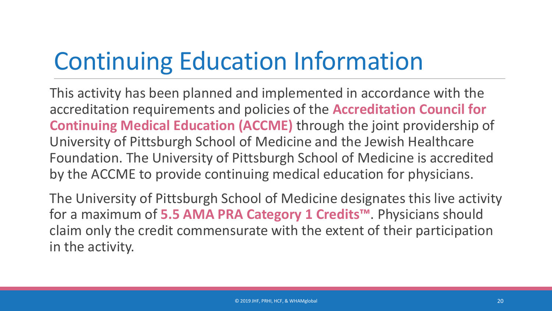## Continuing Education Information

This activity has been planned and implemented in accordance with the accreditation requirements and policies of the **Accreditation Council for Continuing Medical Education (ACCME)** through the joint providership of University of Pittsburgh School of Medicine and the Jewish Healthcare Foundation. The University of Pittsburgh School of Medicine is accredited by the ACCME to provide continuing medical education for physicians.

The University of Pittsburgh School of Medicine designates this live activity for a maximum of **5.5 AMA PRA Category 1 Credits™**. Physicians should claim only the credit commensurate with the extent of their participation in the activity.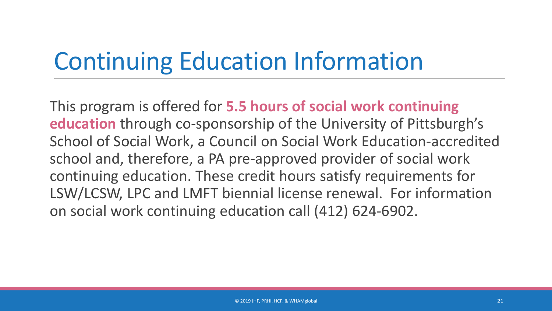## Continuing Education Information

This program is offered for **5.5 hours of social work continuing education** through co-sponsorship of the University of Pittsburgh's School of Social Work, a Council on Social Work Education-accredited school and, therefore, a PA pre-approved provider of social work continuing education. These credit hours satisfy requirements for LSW/LCSW, LPC and LMFT biennial license renewal. For information on social work continuing education call (412) 624-6902.